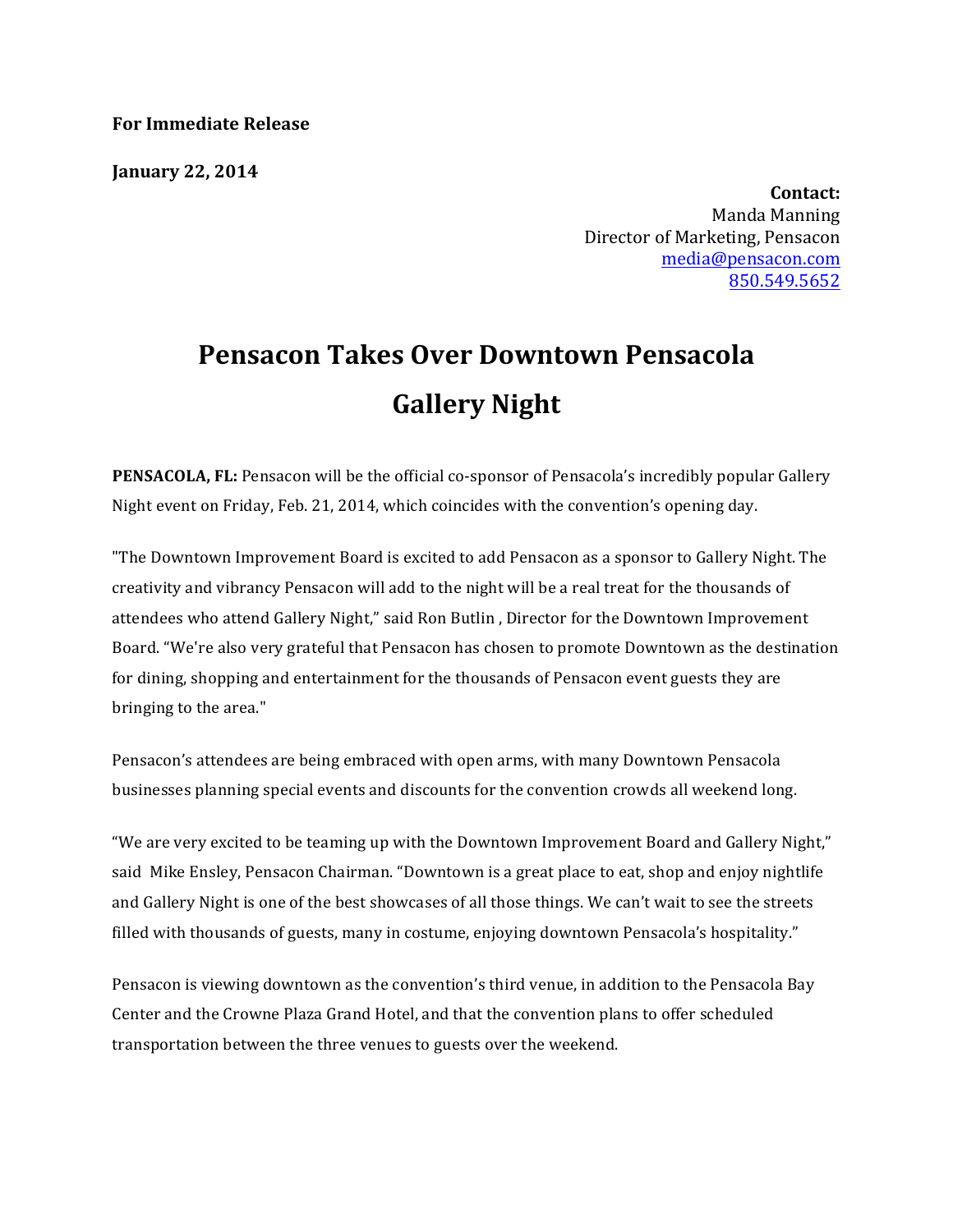**For Immediate Release**

**January 22, 2014**

**Contact:** Manda Manning Director of Marketing, Pensacon media@pensacon.com 850.549.5652

## **Pensacon Takes Over Downtown Pensacola Gallery Night**

**PENSACOLA, FL:** Pensacon will be the official co-sponsor of Pensacola's incredibly popular Gallery Night event on Friday, Feb. 21, 2014, which coincides with the convention's opening day.

"The Downtown Improvement Board is excited to add Pensacon as a sponsor to Gallery Night. The creativity and vibrancy Pensacon will add to the night will be a real treat for the thousands of attendees who attend Gallery Night," said Ron Butlin, Director for the Downtown Improvement Board. "We're also very grateful that Pensacon has chosen to promote Downtown as the destination for dining, shopping and entertainment for the thousands of Pensacon event guests they are bringing to the area."

Pensacon's attendees are being embraced with open arms, with many Downtown Pensacola businesses planning special events and discounts for the convention crowds all weekend long.

"We are very excited to be teaming up with the Downtown Improvement Board and Gallery Night," said Mike Ensley, Pensacon Chairman. "Downtown is a great place to eat, shop and enjoy nightlife and Gallery Night is one of the best showcases of all those things. We can't wait to see the streets filled with thousands of guests, many in costume, enjoying downtown Pensacola's hospitality."

Pensacon is viewing downtown as the convention's third venue, in addition to the Pensacola Bay Center and the Crowne Plaza Grand Hotel, and that the convention plans to offer scheduled transportation between the three venues to guests over the weekend.